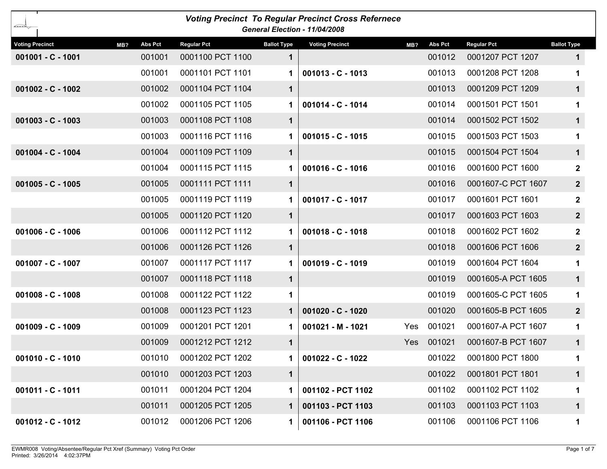| <b>Voting Precinct To Regular Precinct Cross Refernece</b><br>General Election - 11/04/2008 |                |                    |                    |                        |     |                |                    |                    |  |  |  |
|---------------------------------------------------------------------------------------------|----------------|--------------------|--------------------|------------------------|-----|----------------|--------------------|--------------------|--|--|--|
| <b>Voting Precinct</b><br>MB?                                                               | <b>Abs Pct</b> | <b>Regular Pct</b> | <b>Ballot Type</b> | <b>Voting Precinct</b> | MB? | <b>Abs Pct</b> | <b>Regular Pct</b> | <b>Ballot Type</b> |  |  |  |
| 001001 - C - 1001                                                                           | 001001         | 0001100 PCT 1100   | 1                  |                        |     | 001012         | 0001207 PCT 1207   | $\mathbf 1$        |  |  |  |
|                                                                                             | 001001         | 0001101 PCT 1101   | 1.                 | $001013 - C - 1013$    |     | 001013         | 0001208 PCT 1208   | 1                  |  |  |  |
| $001002 - C - 1002$                                                                         | 001002         | 0001104 PCT 1104   | $\mathbf 1$        |                        |     | 001013         | 0001209 PCT 1209   | $\mathbf 1$        |  |  |  |
|                                                                                             | 001002         | 0001105 PCT 1105   | 1.                 | 001014 - C - 1014      |     | 001014         | 0001501 PCT 1501   | 1                  |  |  |  |
| $001003 - C - 1003$                                                                         | 001003         | 0001108 PCT 1108   | 1                  |                        |     | 001014         | 0001502 PCT 1502   | $\mathbf 1$        |  |  |  |
|                                                                                             | 001003         | 0001116 PCT 1116   | 1                  | 001015 - C - 1015      |     | 001015         | 0001503 PCT 1503   | 1                  |  |  |  |
| 001004 - C - 1004                                                                           | 001004         | 0001109 PCT 1109   | 1                  |                        |     | 001015         | 0001504 PCT 1504   | $\mathbf 1$        |  |  |  |
|                                                                                             | 001004         | 0001115 PCT 1115   |                    | 001016 - C - 1016      |     | 001016         | 0001600 PCT 1600   | $\mathbf{2}$       |  |  |  |
| $001005 - C - 1005$                                                                         | 001005         | 0001111 PCT 1111   | 1                  |                        |     | 001016         | 0001607-C PCT 1607 | $2\overline{ }$    |  |  |  |
|                                                                                             | 001005         | 0001119 PCT 1119   | 1.                 | 001017 - C - 1017      |     | 001017         | 0001601 PCT 1601   | $\mathbf{2}$       |  |  |  |
|                                                                                             | 001005         | 0001120 PCT 1120   | 1                  |                        |     | 001017         | 0001603 PCT 1603   | $\mathbf{2}$       |  |  |  |
| $001006 - C - 1006$                                                                         | 001006         | 0001112 PCT 1112   | 1.                 | $001018 - C - 1018$    |     | 001018         | 0001602 PCT 1602   | $\mathbf{2}$       |  |  |  |
|                                                                                             | 001006         | 0001126 PCT 1126   | 1                  |                        |     | 001018         | 0001606 PCT 1606   | $\mathbf{2}$       |  |  |  |
| 001007 - C - 1007                                                                           | 001007         | 0001117 PCT 1117   | 1.                 | 001019 - C - 1019      |     | 001019         | 0001604 PCT 1604   | 1                  |  |  |  |
|                                                                                             | 001007         | 0001118 PCT 1118   | 1                  |                        |     | 001019         | 0001605-A PCT 1605 | $\mathbf 1$        |  |  |  |
| $001008 - C - 1008$                                                                         | 001008         | 0001122 PCT 1122   | 1                  |                        |     | 001019         | 0001605-C PCT 1605 | 1                  |  |  |  |
|                                                                                             | 001008         | 0001123 PCT 1123   | 1                  | 001020 - C - 1020      |     | 001020         | 0001605-B PCT 1605 | 2 <sup>1</sup>     |  |  |  |
| 001009 - C - 1009                                                                           | 001009         | 0001201 PCT 1201   | 1.                 | 001021 - M - 1021      | Yes | 001021         | 0001607-A PCT 1607 | 1                  |  |  |  |
|                                                                                             | 001009         | 0001212 PCT 1212   | 1                  |                        | Yes | 001021         | 0001607-B PCT 1607 | $\mathbf 1$        |  |  |  |
| $001010 - C - 1010$                                                                         | 001010         | 0001202 PCT 1202   | 1.                 | 001022 - C - 1022      |     | 001022         | 0001800 PCT 1800   | 1.                 |  |  |  |
|                                                                                             | 001010         | 0001203 PCT 1203   | $\mathbf 1$        |                        |     | 001022         | 0001801 PCT 1801   | $\mathbf 1$        |  |  |  |
| $001011 - C - 1011$                                                                         | 001011         | 0001204 PCT 1204   | 1.                 | 001102 - PCT 1102      |     | 001102         | 0001102 PCT 1102   | 1                  |  |  |  |
|                                                                                             | 001011         | 0001205 PCT 1205   | $\mathbf 1$        | 001103 - PCT 1103      |     | 001103         | 0001103 PCT 1103   | $\mathbf 1$        |  |  |  |
| 001012 - C - 1012                                                                           | 001012         | 0001206 PCT 1206   | 1                  | 001106 - PCT 1106      |     | 001106         | 0001106 PCT 1106   | 1                  |  |  |  |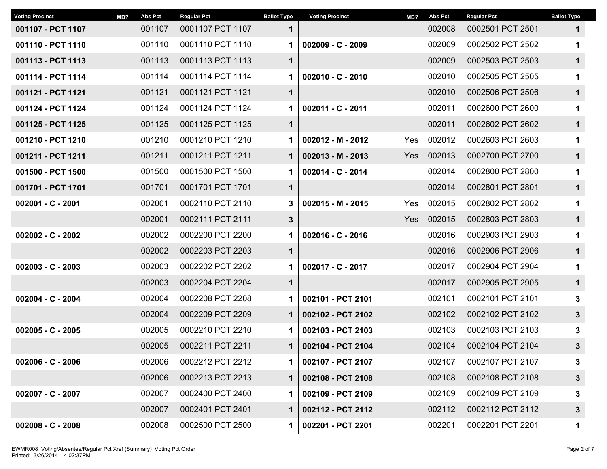| <b>Voting Precinct</b> | MB? | Abs Pct | <b>Regular Pct</b> | <b>Ballot Type</b> | <b>Voting Precinct</b> | MB?        | <b>Abs Pct</b> | <b>Regular Pct</b> | <b>Ballot Type</b> |
|------------------------|-----|---------|--------------------|--------------------|------------------------|------------|----------------|--------------------|--------------------|
| 001107 - PCT 1107      |     | 001107  | 0001107 PCT 1107   | $\mathbf 1$        |                        |            | 002008         | 0002501 PCT 2501   | $\mathbf 1$        |
| 001110 - PCT 1110      |     | 001110  | 0001110 PCT 1110   | 1                  | $002009 - C - 2009$    |            | 002009         | 0002502 PCT 2502   | 1                  |
| 001113 - PCT 1113      |     | 001113  | 0001113 PCT 1113   | $\mathbf 1$        |                        |            | 002009         | 0002503 PCT 2503   | $\mathbf{1}$       |
| 001114 - PCT 1114      |     | 001114  | 0001114 PCT 1114   | 1                  | $002010 - C - 2010$    |            | 002010         | 0002505 PCT 2505   | $\mathbf 1$        |
| 001121 - PCT 1121      |     | 001121  | 0001121 PCT 1121   | $\mathbf 1$        |                        |            | 002010         | 0002506 PCT 2506   | $\mathbf{1}$       |
| 001124 - PCT 1124      |     | 001124  | 0001124 PCT 1124   | 1.                 | 002011 - C - 2011      |            | 002011         | 0002600 PCT 2600   | 1                  |
| 001125 - PCT 1125      |     | 001125  | 0001125 PCT 1125   | $\mathbf 1$        |                        |            | 002011         | 0002602 PCT 2602   | $\mathbf{1}$       |
| 001210 - PCT 1210      |     | 001210  | 0001210 PCT 1210   | 1                  | 002012 - M - 2012      | Yes        | 002012         | 0002603 PCT 2603   | $\mathbf 1$        |
| 001211 - PCT 1211      |     | 001211  | 0001211 PCT 1211   | $\mathbf 1$        | $002013 - M - 2013$    | Yes        | 002013         | 0002700 PCT 2700   | $\mathbf{1}$       |
| 001500 - PCT 1500      |     | 001500  | 0001500 PCT 1500   | 1                  | 002014 - C - 2014      |            | 002014         | 0002800 PCT 2800   | 1                  |
| 001701 - PCT 1701      |     | 001701  | 0001701 PCT 1701   | $\mathbf 1$        |                        |            | 002014         | 0002801 PCT 2801   | $\mathbf 1$        |
| 002001 - C - 2001      |     | 002001  | 0002110 PCT 2110   | 3                  | $002015 - M - 2015$    | <b>Yes</b> | 002015         | 0002802 PCT 2802   | 1                  |
|                        |     | 002001  | 0002111 PCT 2111   | $3\phantom{a}$     |                        | <b>Yes</b> | 002015         | 0002803 PCT 2803   | $\mathbf{1}$       |
| 002002 - C - 2002      |     | 002002  | 0002200 PCT 2200   | 1                  | 002016 - C - 2016      |            | 002016         | 0002903 PCT 2903   | $\mathbf 1$        |
|                        |     | 002002  | 0002203 PCT 2203   | $\mathbf 1$        |                        |            | 002016         | 0002906 PCT 2906   | $\mathbf{1}$       |
| $002003 - C - 2003$    |     | 002003  | 0002202 PCT 2202   | 1                  | 002017 - C - 2017      |            | 002017         | 0002904 PCT 2904   | 1                  |
|                        |     | 002003  | 0002204 PCT 2204   | $\mathbf 1$        |                        |            | 002017         | 0002905 PCT 2905   | $\mathbf{1}$       |
| 002004 - C - 2004      |     | 002004  | 0002208 PCT 2208   | 1                  | 002101 - PCT 2101      |            | 002101         | 0002101 PCT 2101   | 3                  |
|                        |     | 002004  | 0002209 PCT 2209   | 1                  | 002102 - PCT 2102      |            | 002102         | 0002102 PCT 2102   | $\mathbf{3}$       |
| $002005 - C - 2005$    |     | 002005  | 0002210 PCT 2210   | 1                  | 002103 - PCT 2103      |            | 002103         | 0002103 PCT 2103   | 3                  |
|                        |     | 002005  | 0002211 PCT 2211   | $\mathbf 1$        | 002104 - PCT 2104      |            | 002104         | 0002104 PCT 2104   | $\mathbf{3}$       |
| $002006 - C - 2006$    |     | 002006  | 0002212 PCT 2212   |                    | 002107 - PCT 2107      |            | 002107         | 0002107 PCT 2107   | 3                  |
|                        |     | 002006  | 0002213 PCT 2213   | 1                  | 002108 - PCT 2108      |            | 002108         | 0002108 PCT 2108   | $\mathbf{3}$       |
| 002007 - C - 2007      |     | 002007  | 0002400 PCT 2400   | 1                  | 002109 - PCT 2109      |            | 002109         | 0002109 PCT 2109   | 3                  |
|                        |     | 002007  | 0002401 PCT 2401   | 1                  | 002112 - PCT 2112      |            | 002112         | 0002112 PCT 2112   | $\mathbf{3}$       |
| $002008 - C - 2008$    |     | 002008  | 0002500 PCT 2500   | 1                  | 002201 - PCT 2201      |            | 002201         | 0002201 PCT 2201   | 1                  |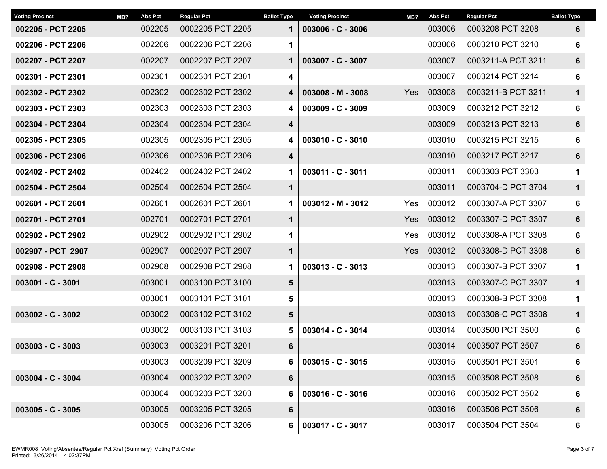| <b>Voting Precinct</b> | MB? | <b>Abs Pct</b> | <b>Regular Pct</b> | <b>Ballot Type</b>      | <b>Voting Precinct</b> | MB?        | <b>Abs Pct</b> | <b>Regular Pct</b> | <b>Ballot Type</b> |
|------------------------|-----|----------------|--------------------|-------------------------|------------------------|------------|----------------|--------------------|--------------------|
| 002205 - PCT 2205      |     | 002205         | 0002205 PCT 2205   | $\mathbf 1$             | $003006 - C - 3006$    |            | 003006         | 0003208 PCT 3208   | 6                  |
| 002206 - PCT 2206      |     | 002206         | 0002206 PCT 2206   | 1                       |                        |            | 003006         | 0003210 PCT 3210   | 6                  |
| 002207 - PCT 2207      |     | 002207         | 0002207 PCT 2207   | $\mathbf 1$             | $003007 - C - 3007$    |            | 003007         | 0003211-A PCT 3211 | 6                  |
| 002301 - PCT 2301      |     | 002301         | 0002301 PCT 2301   | 4                       |                        |            | 003007         | 0003214 PCT 3214   | 6                  |
| 002302 - PCT 2302      |     | 002302         | 0002302 PCT 2302   | 4                       | $003008 - M - 3008$    | <b>Yes</b> | 003008         | 0003211-B PCT 3211 | $\mathbf 1$        |
| 002303 - PCT 2303      |     | 002303         | 0002303 PCT 2303   | 4                       | $003009 - C - 3009$    |            | 003009         | 0003212 PCT 3212   | 6                  |
| 002304 - PCT 2304      |     | 002304         | 0002304 PCT 2304   | 4                       |                        |            | 003009         | 0003213 PCT 3213   | 6                  |
| 002305 - PCT 2305      |     | 002305         | 0002305 PCT 2305   | 4                       | $003010 - C - 3010$    |            | 003010         | 0003215 PCT 3215   | 6                  |
| 002306 - PCT 2306      |     | 002306         | 0002306 PCT 2306   | $\overline{\mathbf{4}}$ |                        |            | 003010         | 0003217 PCT 3217   | 6                  |
| 002402 - PCT 2402      |     | 002402         | 0002402 PCT 2402   | 1                       | 003011 - C - 3011      |            | 003011         | 0003303 PCT 3303   | $\mathbf 1$        |
| 002504 - PCT 2504      |     | 002504         | 0002504 PCT 2504   | $\mathbf 1$             |                        |            | 003011         | 0003704-D PCT 3704 | $\mathbf 1$        |
| 002601 - PCT 2601      |     | 002601         | 0002601 PCT 2601   | $\mathbf 1$             | $003012 - M - 3012$    | Yes        | 003012         | 0003307-A PCT 3307 | 6                  |
| 002701 - PCT 2701      |     | 002701         | 0002701 PCT 2701   | $\mathbf 1$             |                        | Yes        | 003012         | 0003307-D PCT 3307 | $6\phantom{1}6$    |
| 002902 - PCT 2902      |     | 002902         | 0002902 PCT 2902   | 1                       |                        | Yes        | 003012         | 0003308-A PCT 3308 | 6                  |
| 002907 - PCT 2907      |     | 002907         | 0002907 PCT 2907   | $\mathbf 1$             |                        | <b>Yes</b> | 003012         | 0003308-D PCT 3308 | 6                  |
| 002908 - PCT 2908      |     | 002908         | 0002908 PCT 2908   | $\mathbf 1$             | $003013 - C - 3013$    |            | 003013         | 0003307-B PCT 3307 | $\mathbf 1$        |
| 003001 - C - 3001      |     | 003001         | 0003100 PCT 3100   | 5                       |                        |            | 003013         | 0003307-C PCT 3307 | $\mathbf{1}$       |
|                        |     | 003001         | 0003101 PCT 3101   | 5                       |                        |            | 003013         | 0003308-B PCT 3308 | $\mathbf 1$        |
| $003002 - C - 3002$    |     | 003002         | 0003102 PCT 3102   | 5                       |                        |            | 003013         | 0003308-C PCT 3308 | 1                  |
|                        |     | 003002         | 0003103 PCT 3103   | 5                       | $003014 - C - 3014$    |            | 003014         | 0003500 PCT 3500   | 6                  |
| $003003 - C - 3003$    |     | 003003         | 0003201 PCT 3201   | 6                       |                        |            | 003014         | 0003507 PCT 3507   | $6\phantom{1}6$    |
|                        |     | 003003         | 0003209 PCT 3209   | 6                       | $003015 - C - 3015$    |            | 003015         | 0003501 PCT 3501   | 6                  |
| 003004 - C - 3004      |     | 003004         | 0003202 PCT 3202   | 6                       |                        |            | 003015         | 0003508 PCT 3508   | 6                  |
|                        |     | 003004         | 0003203 PCT 3203   | 6                       | $003016 - C - 3016$    |            | 003016         | 0003502 PCT 3502   | 6                  |
| $003005 - C - 3005$    |     | 003005         | 0003205 PCT 3205   | 6                       |                        |            | 003016         | 0003506 PCT 3506   | 6                  |
|                        |     | 003005         | 0003206 PCT 3206   | 6                       | 003017 - C - 3017      |            | 003017         | 0003504 PCT 3504   | 6                  |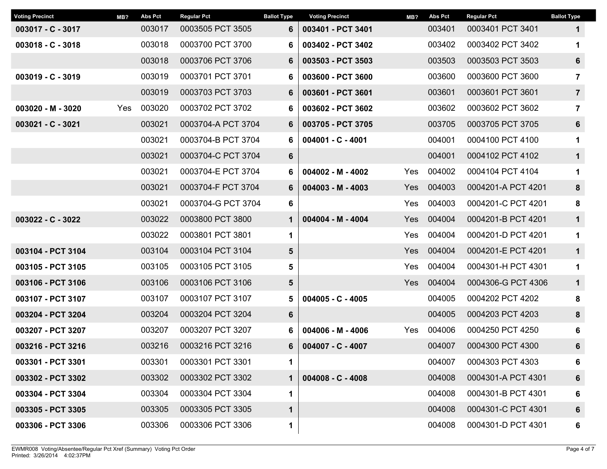| <b>Voting Precinct</b> | MB? | <b>Abs Pct</b> | <b>Regular Pct</b> | <b>Ballot Type</b> | <b>Voting Precinct</b> | MB? | <b>Abs Pct</b> | <b>Regular Pct</b> | <b>Ballot Type</b> |
|------------------------|-----|----------------|--------------------|--------------------|------------------------|-----|----------------|--------------------|--------------------|
| 003017 - C - 3017      |     | 003017         | 0003505 PCT 3505   | 6                  | 003401 - PCT 3401      |     | 003401         | 0003401 PCT 3401   | $\mathbf 1$        |
| $003018 - C - 3018$    |     | 003018         | 0003700 PCT 3700   | 6                  | 003402 - PCT 3402      |     | 003402         | 0003402 PCT 3402   | 1                  |
|                        |     | 003018         | 0003706 PCT 3706   | 6                  | 003503 - PCT 3503      |     | 003503         | 0003503 PCT 3503   | 6                  |
| $003019 - C - 3019$    |     | 003019         | 0003701 PCT 3701   | 6                  | 003600 - PCT 3600      |     | 003600         | 0003600 PCT 3600   | 7                  |
|                        |     | 003019         | 0003703 PCT 3703   | 6                  | 003601 - PCT 3601      |     | 003601         | 0003601 PCT 3601   | $\overline{7}$     |
| 003020 - M - 3020      | Yes | 003020         | 0003702 PCT 3702   | 6                  | 003602 - PCT 3602      |     | 003602         | 0003602 PCT 3602   | $\overline{7}$     |
| 003021 - C - 3021      |     | 003021         | 0003704-A PCT 3704 | 6                  | 003705 - PCT 3705      |     | 003705         | 0003705 PCT 3705   | 6                  |
|                        |     | 003021         | 0003704-B PCT 3704 | 6                  | 004001 - C - 4001      |     | 004001         | 0004100 PCT 4100   | 1                  |
|                        |     | 003021         | 0003704-C PCT 3704 | 6                  |                        |     | 004001         | 0004102 PCT 4102   | $\mathbf 1$        |
|                        |     | 003021         | 0003704-E PCT 3704 | 6                  | $004002 - M - 4002$    | Yes | 004002         | 0004104 PCT 4104   | 1                  |
|                        |     | 003021         | 0003704-F PCT 3704 | 6                  | $004003 - M - 4003$    | Yes | 004003         | 0004201-A PCT 4201 | 8                  |
|                        |     | 003021         | 0003704-G PCT 3704 | 6                  |                        | Yes | 004003         | 0004201-C PCT 4201 | 8                  |
| 003022 - C - 3022      |     | 003022         | 0003800 PCT 3800   | 1                  | $004004 - M - 4004$    | Yes | 004004         | 0004201-B PCT 4201 | $\mathbf{1}$       |
|                        |     | 003022         | 0003801 PCT 3801   | 1                  |                        | Yes | 004004         | 0004201-D PCT 4201 | $\mathbf 1$        |
| 003104 - PCT 3104      |     | 003104         | 0003104 PCT 3104   | 5                  |                        | Yes | 004004         | 0004201-E PCT 4201 | $\mathbf{1}$       |
| 003105 - PCT 3105      |     | 003105         | 0003105 PCT 3105   | 5                  |                        | Yes | 004004         | 0004301-H PCT 4301 | 1                  |
| 003106 - PCT 3106      |     | 003106         | 0003106 PCT 3106   | 5                  |                        | Yes | 004004         | 0004306-G PCT 4306 | $\mathbf{1}$       |
| 003107 - PCT 3107      |     | 003107         | 0003107 PCT 3107   | 5                  | $004005 - C - 4005$    |     | 004005         | 0004202 PCT 4202   | 8                  |
| 003204 - PCT 3204      |     | 003204         | 0003204 PCT 3204   | $6\phantom{1}$     |                        |     | 004005         | 0004203 PCT 4203   | 8                  |
| 003207 - PCT 3207      |     | 003207         | 0003207 PCT 3207   | 6                  | $004006 - M - 4006$    | Yes | 004006         | 0004250 PCT 4250   | 6                  |
| 003216 - PCT 3216      |     | 003216         | 0003216 PCT 3216   | 6                  | 004007 - C - 4007      |     | 004007         | 0004300 PCT 4300   | $6\phantom{1}6$    |
| 003301 - PCT 3301      |     | 003301         | 0003301 PCT 3301   | 1                  |                        |     | 004007         | 0004303 PCT 4303   | 6                  |
| 003302 - PCT 3302      |     | 003302         | 0003302 PCT 3302   | 1                  | $004008 - C - 4008$    |     | 004008         | 0004301-A PCT 4301 | 6                  |
| 003304 - PCT 3304      |     | 003304         | 0003304 PCT 3304   | 1                  |                        |     | 004008         | 0004301-B PCT 4301 | 6                  |
| 003305 - PCT 3305      |     | 003305         | 0003305 PCT 3305   | 1                  |                        |     | 004008         | 0004301-C PCT 4301 | 6                  |
| 003306 - PCT 3306      |     | 003306         | 0003306 PCT 3306   | 1                  |                        |     | 004008         | 0004301-D PCT 4301 | 6                  |
|                        |     |                |                    |                    |                        |     |                |                    |                    |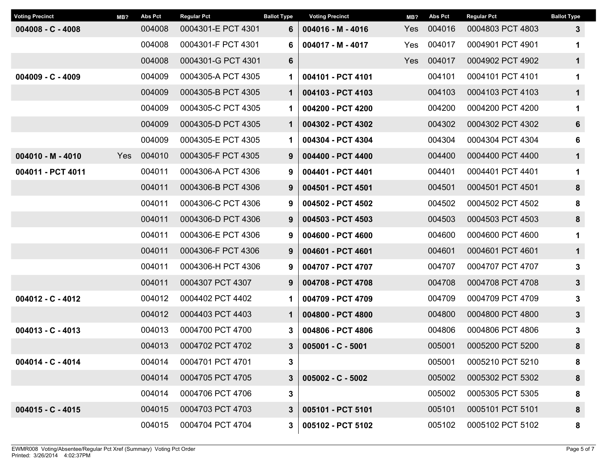| <b>Voting Precinct</b> | MB? | <b>Abs Pct</b> | <b>Regular Pct</b> | <b>Ballot Type</b> | <b>Voting Precinct</b> | MB? | <b>Abs Pct</b> | <b>Regular Pct</b> | <b>Ballot Type</b> |
|------------------------|-----|----------------|--------------------|--------------------|------------------------|-----|----------------|--------------------|--------------------|
| $004008 - C - 4008$    |     | 004008         | 0004301-E PCT 4301 | 6                  | $004016 - M - 4016$    | Yes | 004016         | 0004803 PCT 4803   | $\mathbf{3}$       |
|                        |     | 004008         | 0004301-F PCT 4301 | 6                  | 004017 - M - 4017      | Yes | 004017         | 0004901 PCT 4901   | 1                  |
|                        |     | 004008         | 0004301-G PCT 4301 | $6\phantom{1}$     |                        | Yes | 004017         | 0004902 PCT 4902   | $\mathbf 1$        |
| $004009 - C - 4009$    |     | 004009         | 0004305-A PCT 4305 | 1                  | 004101 - PCT 4101      |     | 004101         | 0004101 PCT 4101   | 1                  |
|                        |     | 004009         | 0004305-B PCT 4305 | $\mathbf 1$        | 004103 - PCT 4103      |     | 004103         | 0004103 PCT 4103   | $\mathbf 1$        |
|                        |     | 004009         | 0004305-C PCT 4305 | 1                  | 004200 - PCT 4200      |     | 004200         | 0004200 PCT 4200   | $\mathbf 1$        |
|                        |     | 004009         | 0004305-D PCT 4305 | $\mathbf 1$        | 004302 - PCT 4302      |     | 004302         | 0004302 PCT 4302   | 6                  |
|                        |     | 004009         | 0004305-E PCT 4305 | 1                  | 004304 - PCT 4304      |     | 004304         | 0004304 PCT 4304   | 6                  |
| $004010 - M - 4010$    | Yes | 004010         | 0004305-F PCT 4305 | 9                  | 004400 - PCT 4400      |     | 004400         | 0004400 PCT 4400   | $\mathbf{1}$       |
| 004011 - PCT 4011      |     | 004011         | 0004306-A PCT 4306 | 9                  | 004401 - PCT 4401      |     | 004401         | 0004401 PCT 4401   | $\mathbf 1$        |
|                        |     | 004011         | 0004306-B PCT 4306 | 9                  | 004501 - PCT 4501      |     | 004501         | 0004501 PCT 4501   | 8                  |
|                        |     | 004011         | 0004306-C PCT 4306 | 9                  | 004502 - PCT 4502      |     | 004502         | 0004502 PCT 4502   | 8                  |
|                        |     | 004011         | 0004306-D PCT 4306 | 9                  | 004503 - PCT 4503      |     | 004503         | 0004503 PCT 4503   | 8                  |
|                        |     | 004011         | 0004306-E PCT 4306 | 9                  | 004600 - PCT 4600      |     | 004600         | 0004600 PCT 4600   | 1                  |
|                        |     | 004011         | 0004306-F PCT 4306 | 9                  | 004601 - PCT 4601      |     | 004601         | 0004601 PCT 4601   | $\mathbf 1$        |
|                        |     | 004011         | 0004306-H PCT 4306 | 9                  | 004707 - PCT 4707      |     | 004707         | 0004707 PCT 4707   | 3                  |
|                        |     | 004011         | 0004307 PCT 4307   | 9                  | 004708 - PCT 4708      |     | 004708         | 0004708 PCT 4708   | $\mathbf{3}$       |
| 004012 - C - 4012      |     | 004012         | 0004402 PCT 4402   | 1                  | 004709 - PCT 4709      |     | 004709         | 0004709 PCT 4709   | $\mathbf 3$        |
|                        |     | 004012         | 0004403 PCT 4403   | $\mathbf 1$        | 004800 - PCT 4800      |     | 004800         | 0004800 PCT 4800   | $\mathbf{3}$       |
| $004013 - C - 4013$    |     | 004013         | 0004700 PCT 4700   | 3                  | 004806 - PCT 4806      |     | 004806         | 0004806 PCT 4806   | 3                  |
|                        |     | 004013         | 0004702 PCT 4702   | $\mathbf{3}$       | 005001 - C - 5001      |     | 005001         | 0005200 PCT 5200   | 8                  |
| 004014 - C - 4014      |     | 004014         | 0004701 PCT 4701   | 3                  |                        |     | 005001         | 0005210 PCT 5210   | 8                  |
|                        |     | 004014         | 0004705 PCT 4705   | $3\phantom{a}$     | $005002 - C - 5002$    |     | 005002         | 0005302 PCT 5302   | 8                  |
|                        |     | 004014         | 0004706 PCT 4706   | 3                  |                        |     | 005002         | 0005305 PCT 5305   | 8                  |
| $004015 - C - 4015$    |     | 004015         | 0004703 PCT 4703   | $3\phantom{.0}$    | 005101 - PCT 5101      |     | 005101         | 0005101 PCT 5101   | 8                  |
|                        |     | 004015         | 0004704 PCT 4704   | 3 <sup>7</sup>     | 005102 - PCT 5102      |     | 005102         | 0005102 PCT 5102   | 8                  |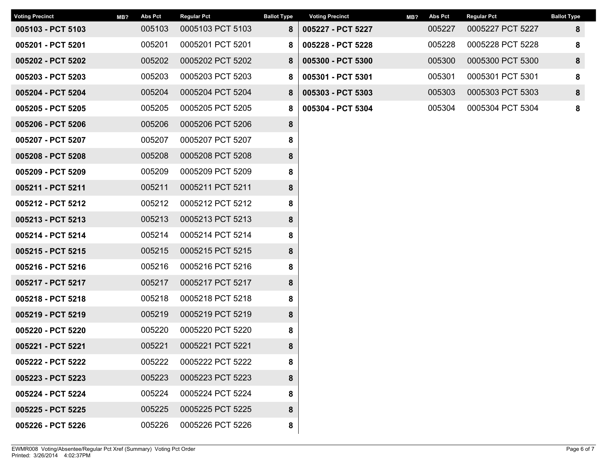| <b>Voting Precinct</b> | MB? | <b>Abs Pct</b> | <b>Regular Pct</b> | <b>Ballot Type</b> | <b>Voting Precinct</b> | MB? | <b>Abs Pct</b> | <b>Regular Pct</b> | <b>Ballot Type</b> |
|------------------------|-----|----------------|--------------------|--------------------|------------------------|-----|----------------|--------------------|--------------------|
| 005103 - PCT 5103      |     | 005103         | 0005103 PCT 5103   | 8                  | 005227 - PCT 5227      |     | 005227         | 0005227 PCT 5227   | 8                  |
| 005201 - PCT 5201      |     | 005201         | 0005201 PCT 5201   | 8                  | 005228 - PCT 5228      |     | 005228         | 0005228 PCT 5228   | 8                  |
| 005202 - PCT 5202      |     | 005202         | 0005202 PCT 5202   | 8                  | 005300 - PCT 5300      |     | 005300         | 0005300 PCT 5300   | 8                  |
| 005203 - PCT 5203      |     | 005203         | 0005203 PCT 5203   | 8                  | 005301 - PCT 5301      |     | 005301         | 0005301 PCT 5301   | 8                  |
| 005204 - PCT 5204      |     | 005204         | 0005204 PCT 5204   | 8                  | 005303 - PCT 5303      |     | 005303         | 0005303 PCT 5303   | 8                  |
| 005205 - PCT 5205      |     | 005205         | 0005205 PCT 5205   | 8                  | 005304 - PCT 5304      |     | 005304         | 0005304 PCT 5304   | 8                  |
| 005206 - PCT 5206      |     | 005206         | 0005206 PCT 5206   | 8                  |                        |     |                |                    |                    |
| 005207 - PCT 5207      |     | 005207         | 0005207 PCT 5207   | 8                  |                        |     |                |                    |                    |
| 005208 - PCT 5208      |     | 005208         | 0005208 PCT 5208   | 8                  |                        |     |                |                    |                    |
| 005209 - PCT 5209      |     | 005209         | 0005209 PCT 5209   | 8                  |                        |     |                |                    |                    |
| 005211 - PCT 5211      |     | 005211         | 0005211 PCT 5211   | 8                  |                        |     |                |                    |                    |
| 005212 - PCT 5212      |     | 005212         | 0005212 PCT 5212   | 8                  |                        |     |                |                    |                    |
| 005213 - PCT 5213      |     | 005213         | 0005213 PCT 5213   | 8                  |                        |     |                |                    |                    |
| 005214 - PCT 5214      |     | 005214         | 0005214 PCT 5214   | 8                  |                        |     |                |                    |                    |
| 005215 - PCT 5215      |     | 005215         | 0005215 PCT 5215   | 8                  |                        |     |                |                    |                    |
| 005216 - PCT 5216      |     | 005216         | 0005216 PCT 5216   | 8                  |                        |     |                |                    |                    |
| 005217 - PCT 5217      |     | 005217         | 0005217 PCT 5217   | 8                  |                        |     |                |                    |                    |
| 005218 - PCT 5218      |     | 005218         | 0005218 PCT 5218   | 8                  |                        |     |                |                    |                    |
| 005219 - PCT 5219      |     | 005219         | 0005219 PCT 5219   | 8                  |                        |     |                |                    |                    |
| 005220 - PCT 5220      |     | 005220         | 0005220 PCT 5220   | 8                  |                        |     |                |                    |                    |
| 005221 - PCT 5221      |     | 005221         | 0005221 PCT 5221   | 8                  |                        |     |                |                    |                    |
| 005222 - PCT 5222      |     | 005222         | 0005222 PCT 5222   | 8                  |                        |     |                |                    |                    |
| 005223 - PCT 5223      |     | 005223         | 0005223 PCT 5223   | 8                  |                        |     |                |                    |                    |
| 005224 - PCT 5224      |     | 005224         | 0005224 PCT 5224   | 8                  |                        |     |                |                    |                    |
| 005225 - PCT 5225      |     | 005225         | 0005225 PCT 5225   | 8                  |                        |     |                |                    |                    |
| 005226 - PCT 5226      |     | 005226         | 0005226 PCT 5226   | 8                  |                        |     |                |                    |                    |